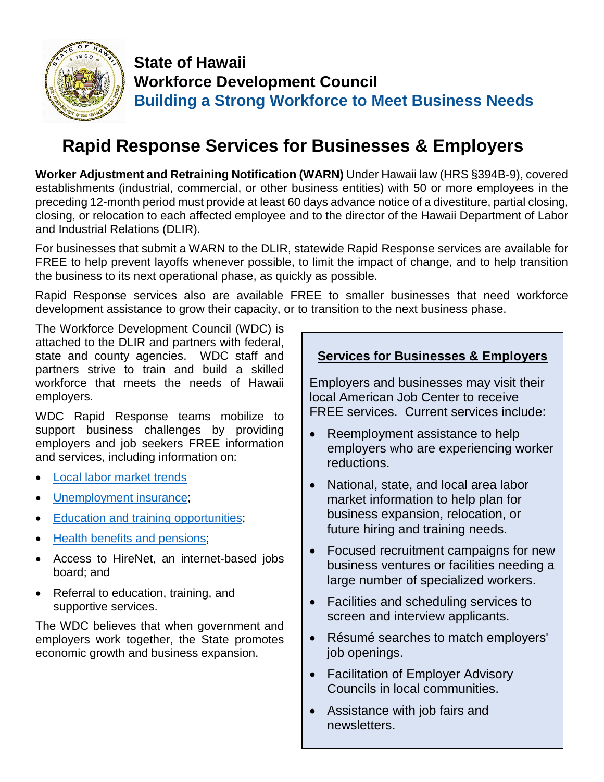

## **State of Hawaii Workforce Development Council Building a Strong Workforce to Meet Business Needs**

# **Rapid Response Services for Businesses & Employers**

**Worker Adjustment and Retraining Notification (WARN)** Under Hawaii law (HRS §394B-9), covered establishments (industrial, commercial, or other business entities) with 50 or more employees in the preceding 12-month period must provide at least 60 days advance notice of a divestiture, partial closing, closing, or relocation to each affected employee and to the director of the Hawaii Department of Labor and Industrial Relations (DLIR).

For businesses that submit a WARN to the DLIR, statewide Rapid Response services are available for FREE to help prevent layoffs whenever possible, to limit the impact of change, and to help transition the business to its next operational phase, as quickly as possible*.* 

Rapid Response services also are available FREE to smaller businesses that need workforce development assistance to grow their capacity, or to transition to the next business phase.

The Workforce Development Council (WDC) is attached to the DLIR and partners with federal, state and county agencies. WDC staff and partners strive to train and build a skilled workforce that meets the needs of Hawaii employers.

WDC Rapid Response teams mobilize to support business challenges by providing employers and job seekers FREE information and services, including information on:

- [Local labor market](https://www.hiwi.org/vosnet/Default.aspx) trends
- [Unemployment insurance;](http://labor.hawaii.gov/ui/)
- [Education and training opportunities;](http://www.honolulu.gov/dcs/workforce.html)
- [Health benefits and pensions;](http://humanservices.hawaii.gov/wp-content/uploads/2016/02/MQD-office-contact-info-revised-2-24-16.pdf)
- Access to HireNet, an internet-based jobs board; and
- Referral to education, training, and supportive services.

The WDC believes that when government and employers work together, the State promotes economic growth and business expansion.

#### **Services for Businesses & Employers**

Employers and businesses may visit their local American Job Center to receive FREE services. Current services include:

- Reemployment assistance to help employers who are experiencing worker reductions.
- National, state, and local area labor market information to help plan for business expansion, relocation, or future hiring and training needs.
- Focused recruitment campaigns for new business ventures or facilities needing a large number of specialized workers.
- Facilities and scheduling services to screen and interview applicants.
- Résumé searches to match employers' job openings.
- Facilitation of Employer Advisory Councils in local communities.
- Assistance with job fairs and newsletters.